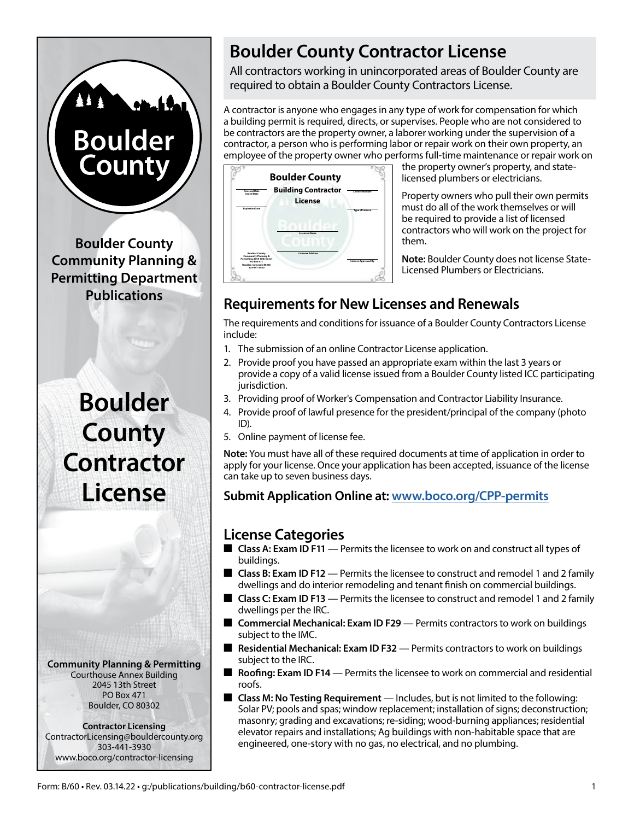# **Boulder County**

**Boulder County Community Planning & Permitting Department Publications**

## **Boulder County Contractor License**

**Community Planning & Permitting** Courthouse Annex Building 2045 13th Street PO Box 471 Boulder, CO 80302

#### **Contractor Licensing** ContractorLicensing@bouldercounty.org 303-441-3930 www.boco.org/contractor-licensing

### **Boulder County Contractor License**

All contractors working in unincorporated areas of Boulder County are required to obtain a Boulder County Contractors License.

A contractor is anyone who engages in any type of work for compensation for which a building permit is required, directs, or supervises. People who are not considered to be contractors are the property owner, a laborer working under the supervision of a contractor, a person who is performing labor or repair work on their own property, an employee of the property owner who performs full-time maintenance or repair work on



the property owner's property, and statelicensed plumbers or electricians.

Property owners who pull their own permits must do all of the work themselves or will be required to provide a list of licensed contractors who will work on the project for them.

**Note:** Boulder County does not license State-Licensed Plumbers or Electricians.

#### **Requirements for New Licenses and Renewals**

The requirements and conditions for issuance of a Boulder County Contractors License include:

- 1. The submission of an online Contractor License application.
- 2. Provide proof you have passed an appropriate exam within the last 3 years or provide a copy of a valid license issued from a Boulder County listed ICC participating jurisdiction.
- 3. Providing proof of Worker's Compensation and Contractor Liability Insurance.
- 4. Provide proof of lawful presence for the president/principal of the company (photo ID).
- 5. Online payment of license fee.

**Note:** You must have all of these required documents at time of application in order to apply for your license. Once your application has been accepted, issuance of the license can take up to seven business days.

**Submit Application Online at: [www.boco.org/CPP-permits](https://www.boco.org/CPP-permits)**

#### **License Categories**

- Class A: Exam ID F11 Permits the licensee to work on and construct all types of buildings.
- **Class B: Exam ID F12** Permits the licensee to construct and remodel 1 and 2 family dwellings and do interior remodeling and tenant finish on commercial buildings.
- Class C: Exam ID F13 Permits the licensee to construct and remodel 1 and 2 family dwellings per the IRC.
- **Commercial Mechanical: Exam ID F29** Permits contractors to work on buildings subject to the IMC.
- Residential Mechanical: Exam ID F32 Permits contractors to work on buildings subject to the IRC.
- **Roofing: Exam ID F14** Permits the licensee to work on commercial and residential roofs.
- Class M: No Testing Requirement Includes, but is not limited to the following: Solar PV; pools and spas; window replacement; installation of signs; deconstruction; masonry; grading and excavations; re-siding; wood-burning appliances; residential elevator repairs and installations; Ag buildings with non-habitable space that are engineered, one-story with no gas, no electrical, and no plumbing.